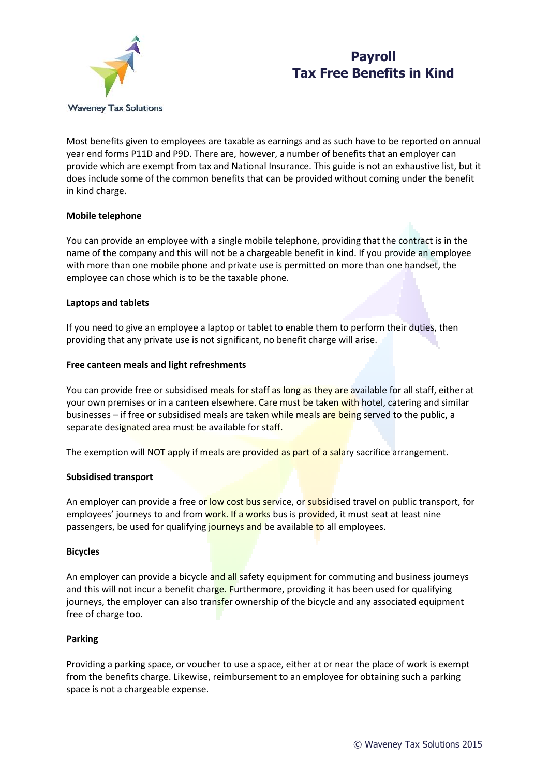

# **Payroll Tax Free Benefits in Kind**

Most benefits given to employees are taxable as earnings and as such have to be reported on annual year end forms P11D and P9D. There are, however, a number of benefits that an employer can provide which are exempt from tax and National Insurance. This guide is not an exhaustive list, but it does include some of the common benefits that can be provided without coming under the benefit in kind charge.

# **Mobile telephone**

You can provide an employee with a single mobile telephone, providing that the contract is in the name of the company and this will not be a chargeable benefit in kind. If you provide an employee with more than one mobile phone and private use is permitted on more than one handset, the employee can chose which is to be the taxable phone.

## **Laptops and tablets**

If you need to give an employee a laptop or tablet to enable them to perform their duties, then providing that any private use is not significant, no benefit charge will arise.

#### **Free canteen meals and light refreshments**

You can provide free or subsidised meals for staff as long as they are available for all staff, either at your own premises or in a canteen elsewhere. Care must be taken with hotel, catering and similar businesses – if free or subsidised meals are taken while meals are being served to the public, a separate designated area must be available for staff.

The exemption will NOT apply if meals are provided as part of a salary sacrifice arrangement.

#### **Subsidised transport**

An employer can provide a free or low cost bus service, or subsidised travel on public transport, for employees' journeys to and from work. If a works bus is provided, it must seat at least nine passengers, be used for qualifying journeys and be available to all employees.

#### **Bicycles**

An employer can provide a bicycle and all safety equipment for commuting and business journeys and this will not incur a benefit charge. Furthermore, providing it has been used for qualifying journeys, the employer can also transfer ownership of the bicycle and any associated equipment free of charge too.

## **Parking**

Providing a parking space, or voucher to use a space, either at or near the place of work is exempt from the benefits charge. Likewise, reimbursement to an employee for obtaining such a parking space is not a chargeable expense.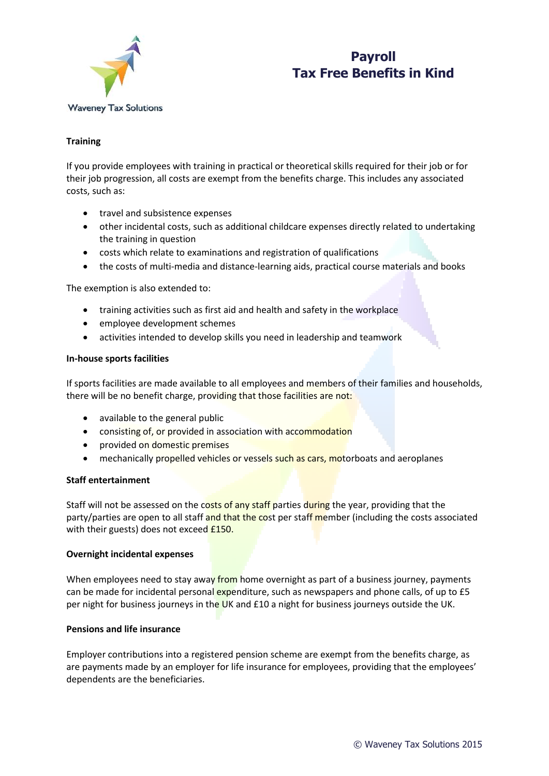

# **Payroll Tax Free Benefits in Kind**

# **Training**

If you provide employees with training in practical or theoretical skills required for their job or for their job progression, all costs are exempt from the benefits charge. This includes any associated costs, such as:

- travel and subsistence expenses
- other incidental costs, such as additional childcare expenses directly related to undertaking the training in question
- costs which relate to examinations and registration of qualifications
- the costs of multi-media and distance-learning aids, practical course materials and books

The exemption is also extended to:

- training activities such as first aid and health and safety in the workplace
- employee development schemes
- activities intended to develop skills you need in leadership and teamwork

#### **In-house sports facilities**

If sports facilities are made available to all employees and members of their families and households, there will be no benefit charge, providing that those facilities are not:

- available to the general public
- consisting of, or provided in association with accommodation
- provided on domestic premises
- **•** mechanically propelled vehicles or vessels such as cars, motorboats and aeroplanes

## **Staff entertainment**

Staff will not be assessed on the costs of any staff parties during the year, providing that the party/parties are open to all staff and that the cost per staff member (including the costs associated with their guests) does not exceed **£150.** 

## **Overnight incidental expenses**

When employees need to stay away from home overnight as part of a business journey, payments can be made for incidental personal expenditure, such as newspapers and phone calls, of up to £5 per night for business journeys in the UK and £10 a night for business journeys outside the UK.

## **Pensions and life insurance**

Employer contributions into a registered pension scheme are exempt from the benefits charge, as are payments made by an employer for life insurance for employees, providing that the employees' dependents are the beneficiaries.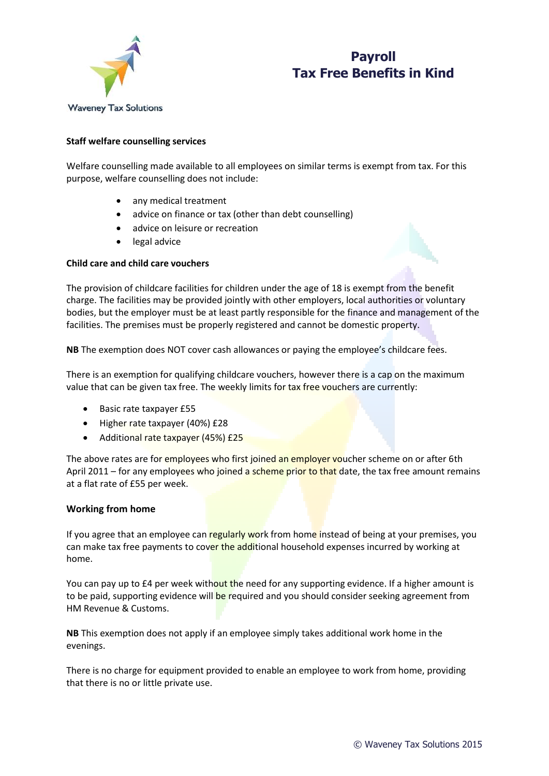



# **Staff welfare counselling services**

Welfare counselling made available to all employees on similar terms is exempt from tax. For this purpose, welfare counselling does not include:

- any medical treatment
- advice on finance or tax (other than debt counselling)
- advice on leisure or recreation
- legal advice

## **Child care and child care vouchers**



The provision of childcare facilities for children under the age of 18 is exempt from the benefit charge. The facilities may be provided jointly with other employers, local authorities or voluntary bodies, but the employer must be at least partly responsible for the finance and management of the facilities. The premises must be properly registered and cannot be domestic property.

**NB** The exemption does NOT cover cash allowances or paying the employee's childcare fees.

There is an exemption for qualifying childcare vouchers, however there is a cap on the maximum value that can be given tax free. The weekly limits for tax free vouchers are currently:

- Basic rate taxpayer £55
- Higher rate taxpayer (40%) £28
- Additional rate taxpayer (45%) £25

The above rates are for employees who first joined an employer voucher scheme on or after 6th April 2011 – for any employees who joined a scheme prior to that date, the tax free amount remains at a flat rate of £55 per week.

## **Working from home**

If you agree that an employee can regularly work from home instead of being at your premises, you can make tax free payments to cover the additional household expenses incurred by working at home.

You can pay up to £4 per week without the need for any supporting evidence. If a higher amount is to be paid, supporting evidence will be required and you should consider seeking agreement from HM Revenue & Customs.

**NB** This exemption does not apply if an employee simply takes additional work home in the evenings.

There is no charge for equipment provided to enable an employee to work from home, providing that there is no or little private use.